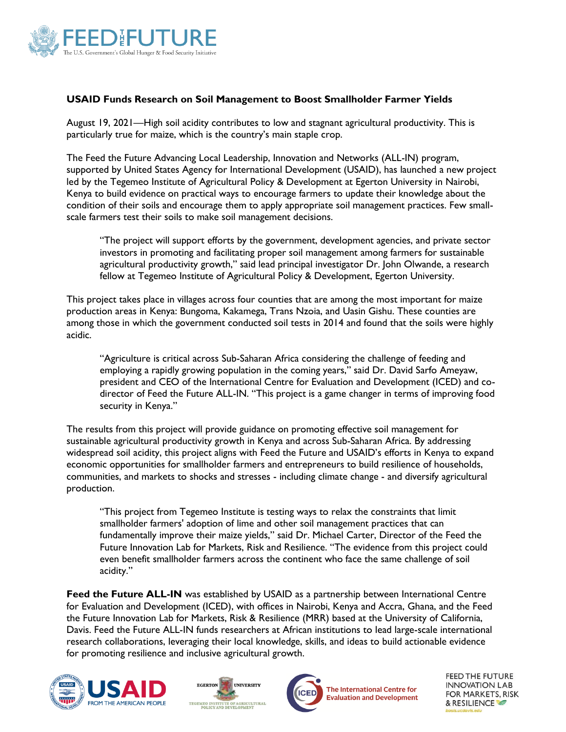

## **USAID Funds Research on Soil Management to Boost Smallholder Farmer Yields**

August 19, 2021—High soil acidity contributes to low and stagnant agricultural productivity. This is particularly true for maize, which is the country's main staple crop.

The Feed the Future Advancing Local Leadership, Innovation and Networks (ALL-IN) program, supported by United States Agency for International Development (USAID), has launched a new project led by the Tegemeo Institute of Agricultural Policy & Development at Egerton University in Nairobi, Kenya to build evidence on practical ways to encourage farmers to update their knowledge about the condition of their soils and encourage them to apply appropriate soil management practices. Few smallscale farmers test their soils to make soil management decisions.

"The project will support efforts by the government, development agencies, and private sector investors in promoting and facilitating proper soil management among farmers for sustainable agricultural productivity growth," said lead principal investigator Dr. John Olwande, a research fellow at Tegemeo Institute of Agricultural Policy & Development, Egerton University.

This project takes place in villages across four counties that are among the most important for maize production areas in Kenya: Bungoma, Kakamega, Trans Nzoia, and Uasin Gishu. These counties are among those in which the government conducted soil tests in 2014 and found that the soils were highly acidic.

"Agriculture is critical across Sub-Saharan Africa considering the challenge of feeding and employing a rapidly growing population in the coming years," said Dr. David Sarfo Ameyaw, president and CEO of the International Centre for Evaluation and Development (ICED) and codirector of Feed the Future ALL-IN. "This project is a game changer in terms of improving food security in Kenya."

The results from this project will provide guidance on promoting effective soil management for sustainable agricultural productivity growth in Kenya and across Sub-Saharan Africa. By addressing widespread soil acidity, this project aligns with Feed the Future and USAID's efforts in Kenya to expand economic opportunities for smallholder farmers and entrepreneurs to build resilience of households, communities, and markets to shocks and stresses - including climate change - and diversify agricultural production.

"This project from Tegemeo Institute is testing ways to relax the constraints that limit smallholder farmers' adoption of lime and other soil management practices that can fundamentally improve their maize yields," said Dr. Michael Carter, Director of the Feed the Future Innovation Lab for Markets, Risk and Resilience. "The evidence from this project could even benefit smallholder farmers across the continent who face the same challenge of soil acidity."

Feed the Future ALL-IN was established by USAID as a partnership between International Centre for Evaluation and Development (ICED), with offices in Nairobi, Kenya and Accra, Ghana, and the Feed the Future Innovation Lab for Markets, Risk & Resilience (MRR) based at the University of California, Davis. Feed the Future ALL-IN funds researchers at African institutions to lead large-scale international research collaborations, leveraging their local knowledge, skills, and ideas to build actionable evidence for promoting resilience and inclusive agricultural growth.







FEED THE FUTURE **INNOVATION LAB** FOR MARKETS, RISK & RESILIENCE